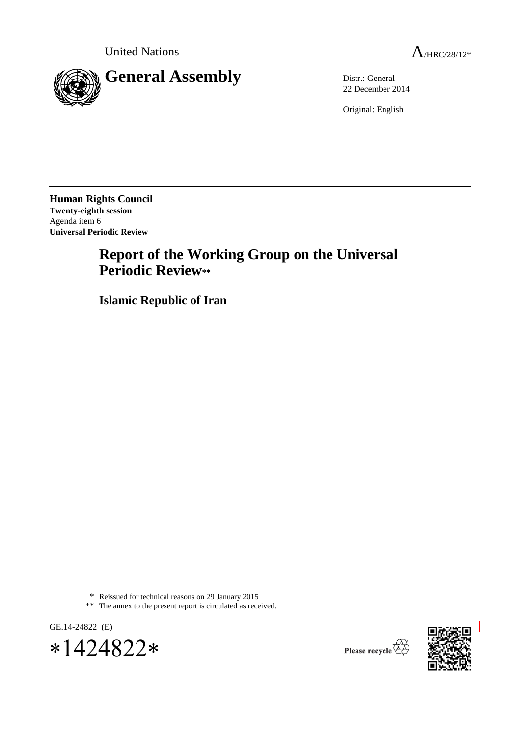

22 December 2014

Original: English

**Human Rights Council Twenty-eighth session** Agenda item 6 **Universal Periodic Review**

# **Report of the Working Group on the Universal Periodic Review\*\***

**Islamic Republic of Iran**

<sup>\*\*</sup> The annex to the present report is circulated as received.









<sup>\*</sup> Reissued for technical reasons on 29 January 2015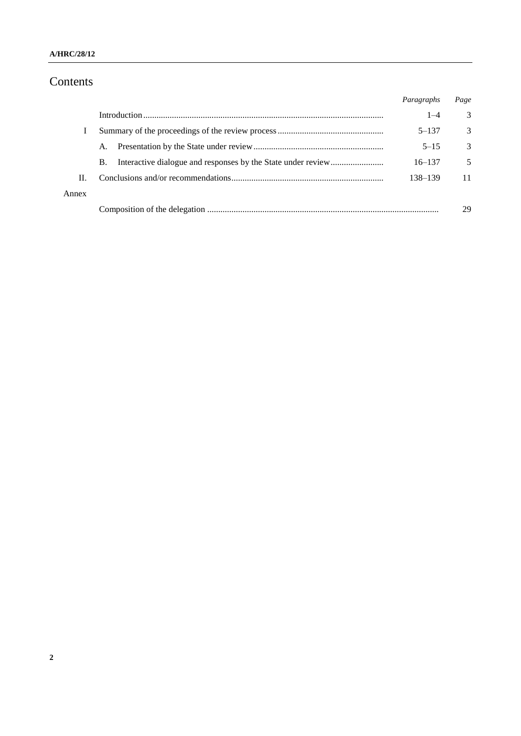# Contents

|       |           | Paragraphs | Page          |
|-------|-----------|------------|---------------|
|       |           | $1 - 4$    | 3             |
|       |           | $5 - 137$  | 3             |
|       | A.        | $5 - 15$   | $\mathcal{R}$ |
|       | <b>B.</b> | $16 - 137$ | 5             |
| H.    |           | 138–139    | 11            |
| Annex |           |            |               |
|       |           |            | 29            |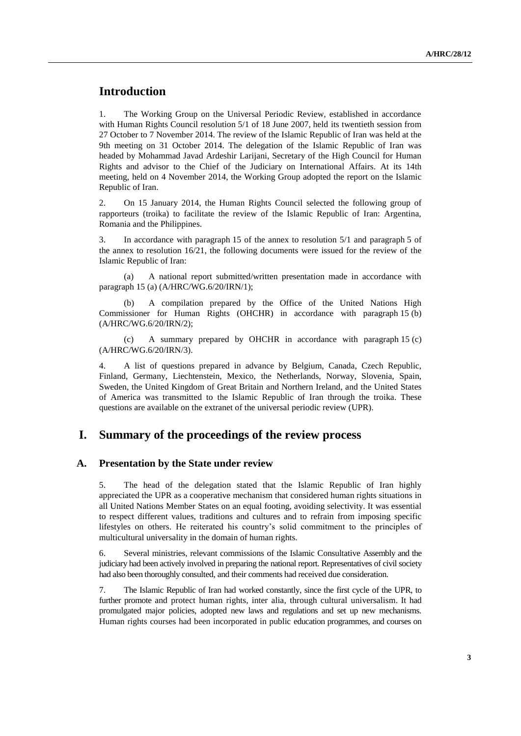# **Introduction**

1. The Working Group on the Universal Periodic Review, established in accordance with Human Rights Council resolution 5/1 of 18 June 2007, held its twentieth session from 27 October to 7 November 2014. The review of the Islamic Republic of Iran was held at the 9th meeting on 31 October 2014. The delegation of the Islamic Republic of Iran was headed by Mohammad Javad Ardeshir Larijani, Secretary of the High Council for Human Rights and advisor to the Chief of the Judiciary on International Affairs. At its 14th meeting, held on 4 November 2014, the Working Group adopted the report on the Islamic Republic of Iran.

2. On 15 January 2014, the Human Rights Council selected the following group of rapporteurs (troika) to facilitate the review of the Islamic Republic of Iran: Argentina, Romania and the Philippines.

3. In accordance with paragraph 15 of the annex to resolution 5/1 and paragraph 5 of the annex to resolution 16/21, the following documents were issued for the review of the Islamic Republic of Iran:

(a) A national report submitted/written presentation made in accordance with paragraph 15 (a) (A/HRC/WG.6/20/IRN/1);

(b) A compilation prepared by the Office of the United Nations High Commissioner for Human Rights (OHCHR) in accordance with paragraph 15 (b) (A/HRC/WG.6/20/IRN/2);

(c) A summary prepared by OHCHR in accordance with paragraph 15 (c) (A/HRC/WG.6/20/IRN/3).

4. A list of questions prepared in advance by Belgium, Canada, Czech Republic, Finland, Germany, Liechtenstein, Mexico, the Netherlands, Norway, Slovenia, Spain, Sweden, the United Kingdom of Great Britain and Northern Ireland, and the United States of America was transmitted to the Islamic Republic of Iran through the troika. These questions are available on the extranet of the universal periodic review (UPR).

# **I. Summary of the proceedings of the review process**

#### **A. Presentation by the State under review**

5. The head of the delegation stated that the Islamic Republic of Iran highly appreciated the UPR as a cooperative mechanism that considered human rights situations in all United Nations Member States on an equal footing, avoiding selectivity. It was essential to respect different values, traditions and cultures and to refrain from imposing specific lifestyles on others. He reiterated his country's solid commitment to the principles of multicultural universality in the domain of human rights.

6. Several ministries, relevant commissions of the Islamic Consultative Assembly and the judiciary had been actively involved in preparing the national report. Representatives of civil society had also been thoroughly consulted, and their comments had received due consideration.

7. The Islamic Republic of Iran had worked constantly, since the first cycle of the UPR, to further promote and protect human rights, inter alia, through cultural universalism. It had promulgated major policies, adopted new laws and regulations and set up new mechanisms. Human rights courses had been incorporated in public education programmes, and courses on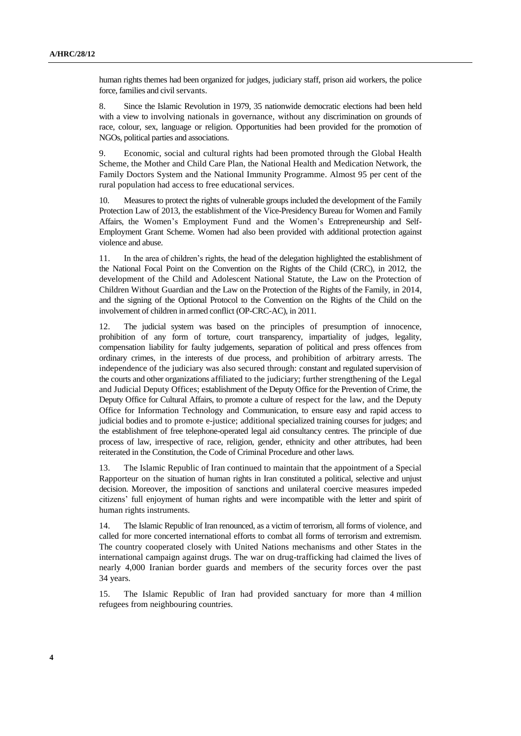human rights themes had been organized for judges, judiciary staff, prison aid workers, the police force, families and civil servants.

8. Since the Islamic Revolution in 1979, 35 nationwide democratic elections had been held with a view to involving nationals in governance, without any discrimination on grounds of race, colour, sex, language or religion. Opportunities had been provided for the promotion of NGOs, political parties and associations.

9. Economic, social and cultural rights had been promoted through the Global Health Scheme, the Mother and Child Care Plan, the National Health and Medication Network, the Family Doctors System and the National Immunity Programme. Almost 95 per cent of the rural population had access to free educational services.

10. Measures to protect the rights of vulnerable groups included the development of the Family Protection Law of 2013, the establishment of the Vice-Presidency Bureau for Women and Family Affairs, the Women's Employment Fund and the Women's Entrepreneurship and Self-Employment Grant Scheme. Women had also been provided with additional protection against violence and abuse.

11. In the area of children's rights, the head of the delegation highlighted the establishment of the National Focal Point on the Convention on the Rights of the Child (CRC), in 2012, the development of the Child and Adolescent National Statute, the Law on the Protection of Children Without Guardian and the Law on the Protection of the Rights of the Family, in 2014, and the signing of the Optional Protocol to the Convention on the Rights of the Child on the involvement of children in armed conflict (OP-CRC-AC), in 2011.

12. The judicial system was based on the principles of presumption of innocence, prohibition of any form of torture, court transparency, impartiality of judges, legality, compensation liability for faulty judgements, separation of political and press offences from ordinary crimes, in the interests of due process, and prohibition of arbitrary arrests. The independence of the judiciary was also secured through: constant and regulated supervision of the courts and other organizations affiliated to the judiciary; further strengthening of the Legal and Judicial Deputy Offices; establishment of the Deputy Office for the Prevention of Crime, the Deputy Office for Cultural Affairs, to promote a culture of respect for the law, and the Deputy Office for Information Technology and Communication, to ensure easy and rapid access to judicial bodies and to promote e-justice; additional specialized training courses for judges; and the establishment of free telephone-operated legal aid consultancy centres. The principle of due process of law, irrespective of race, religion, gender, ethnicity and other attributes, had been reiterated in the Constitution, the Code of Criminal Procedure and other laws.

13. The Islamic Republic of Iran continued to maintain that the appointment of a Special Rapporteur on the situation of human rights in Iran constituted a political, selective and unjust decision. Moreover, the imposition of sanctions and unilateral coercive measures impeded citizens' full enjoyment of human rights and were incompatible with the letter and spirit of human rights instruments.

14. The Islamic Republic of Iran renounced, as a victim of terrorism, all forms of violence, and called for more concerted international efforts to combat all forms of terrorism and extremism. The country cooperated closely with United Nations mechanisms and other States in the international campaign against drugs. The war on drug-trafficking had claimed the lives of nearly 4,000 Iranian border guards and members of the security forces over the past 34 years.

15. The Islamic Republic of Iran had provided sanctuary for more than 4 million refugees from neighbouring countries.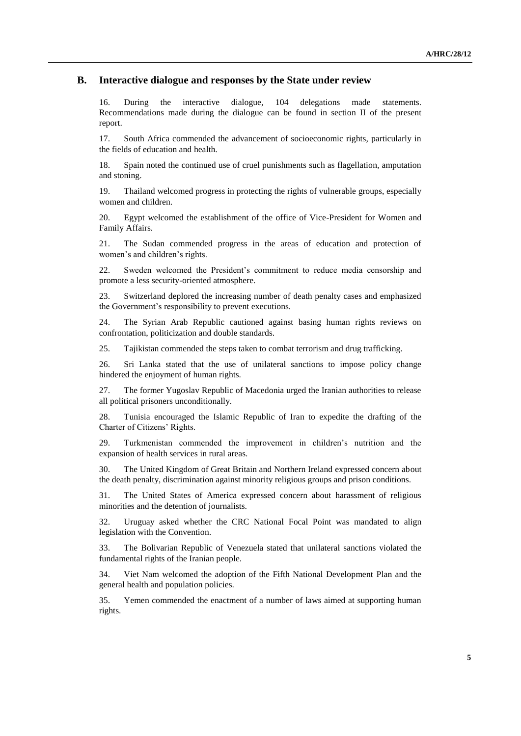#### **B. Interactive dialogue and responses by the State under review**

16. During the interactive dialogue, 104 delegations made statements. Recommendations made during the dialogue can be found in section II of the present report.

17. South Africa commended the advancement of socioeconomic rights, particularly in the fields of education and health.

18. Spain noted the continued use of cruel punishments such as flagellation, amputation and stoning.

19. Thailand welcomed progress in protecting the rights of vulnerable groups, especially women and children.

20. Egypt welcomed the establishment of the office of Vice-President for Women and Family Affairs.

21. The Sudan commended progress in the areas of education and protection of women's and children's rights.

22. Sweden welcomed the President's commitment to reduce media censorship and promote a less security-oriented atmosphere.

23. Switzerland deplored the increasing number of death penalty cases and emphasized the Government's responsibility to prevent executions.

24. The Syrian Arab Republic cautioned against basing human rights reviews on confrontation, politicization and double standards.

25. Tajikistan commended the steps taken to combat terrorism and drug trafficking.

26. Sri Lanka stated that the use of unilateral sanctions to impose policy change hindered the enjoyment of human rights.

27. The former Yugoslav Republic of Macedonia urged the Iranian authorities to release all political prisoners unconditionally.

28. Tunisia encouraged the Islamic Republic of Iran to expedite the drafting of the Charter of Citizens' Rights.

29. Turkmenistan commended the improvement in children's nutrition and the expansion of health services in rural areas.

30. The United Kingdom of Great Britain and Northern Ireland expressed concern about the death penalty, discrimination against minority religious groups and prison conditions.

31. The United States of America expressed concern about harassment of religious minorities and the detention of journalists.

32. Uruguay asked whether the CRC National Focal Point was mandated to align legislation with the Convention.

33. The Bolivarian Republic of Venezuela stated that unilateral sanctions violated the fundamental rights of the Iranian people.

34. Viet Nam welcomed the adoption of the Fifth National Development Plan and the general health and population policies.

35. Yemen commended the enactment of a number of laws aimed at supporting human rights.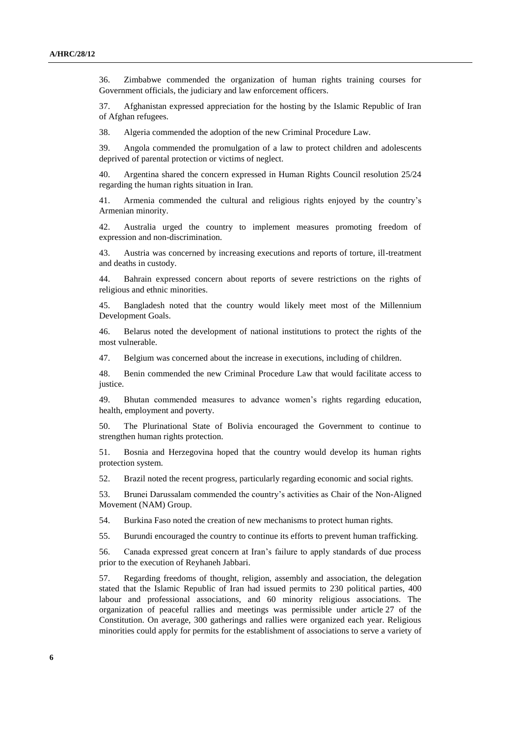36. Zimbabwe commended the organization of human rights training courses for Government officials, the judiciary and law enforcement officers.

37. Afghanistan expressed appreciation for the hosting by the Islamic Republic of Iran of Afghan refugees.

38. Algeria commended the adoption of the new Criminal Procedure Law.

39. Angola commended the promulgation of a law to protect children and adolescents deprived of parental protection or victims of neglect.

40. Argentina shared the concern expressed in Human Rights Council resolution 25/24 regarding the human rights situation in Iran.

41. Armenia commended the cultural and religious rights enjoyed by the country's Armenian minority.

42. Australia urged the country to implement measures promoting freedom of expression and non-discrimination.

43. Austria was concerned by increasing executions and reports of torture, ill-treatment and deaths in custody.

44. Bahrain expressed concern about reports of severe restrictions on the rights of religious and ethnic minorities.

45. Bangladesh noted that the country would likely meet most of the Millennium Development Goals.

46. Belarus noted the development of national institutions to protect the rights of the most vulnerable.

47. Belgium was concerned about the increase in executions, including of children.

48. Benin commended the new Criminal Procedure Law that would facilitate access to justice.

49. Bhutan commended measures to advance women's rights regarding education, health, employment and poverty.

50. The Plurinational State of Bolivia encouraged the Government to continue to strengthen human rights protection.

51. Bosnia and Herzegovina hoped that the country would develop its human rights protection system.

52. Brazil noted the recent progress, particularly regarding economic and social rights.

53. Brunei Darussalam commended the country's activities as Chair of the Non-Aligned Movement (NAM) Group.

54. Burkina Faso noted the creation of new mechanisms to protect human rights.

55. Burundi encouraged the country to continue its efforts to prevent human trafficking.

56. Canada expressed great concern at Iran's failure to apply standards of due process prior to the execution of Reyhaneh Jabbari.

57. Regarding freedoms of thought, religion, assembly and association, the delegation stated that the Islamic Republic of Iran had issued permits to 230 political parties, 400 labour and professional associations, and 60 minority religious associations. The organization of peaceful rallies and meetings was permissible under article 27 of the Constitution. On average, 300 gatherings and rallies were organized each year. Religious minorities could apply for permits for the establishment of associations to serve a variety of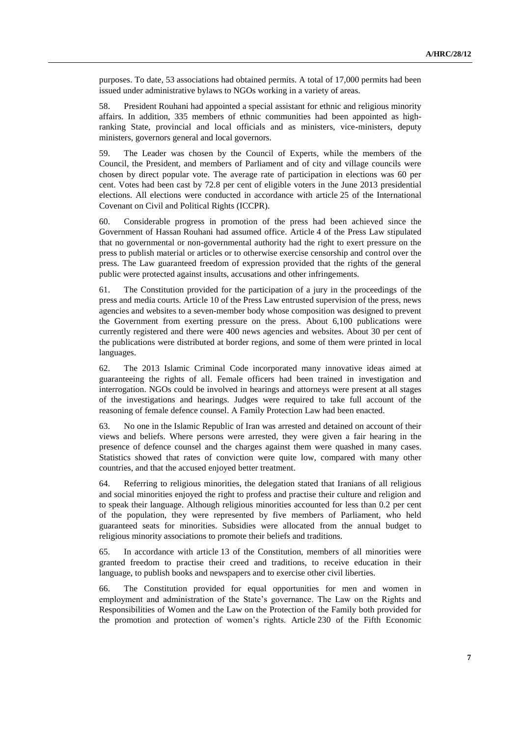purposes. To date, 53 associations had obtained permits. A total of 17,000 permits had been issued under administrative bylaws to NGOs working in a variety of areas.

58. President Rouhani had appointed a special assistant for ethnic and religious minority affairs. In addition, 335 members of ethnic communities had been appointed as highranking State, provincial and local officials and as ministers, vice-ministers, deputy ministers, governors general and local governors.

59. The Leader was chosen by the Council of Experts, while the members of the Council, the President, and members of Parliament and of city and village councils were chosen by direct popular vote. The average rate of participation in elections was 60 per cent. Votes had been cast by 72.8 per cent of eligible voters in the June 2013 presidential elections. All elections were conducted in accordance with article 25 of the International Covenant on Civil and Political Rights (ICCPR).

60. Considerable progress in promotion of the press had been achieved since the Government of Hassan Rouhani had assumed office. Article 4 of the Press Law stipulated that no governmental or non-governmental authority had the right to exert pressure on the press to publish material or articles or to otherwise exercise censorship and control over the press. The Law guaranteed freedom of expression provided that the rights of the general public were protected against insults, accusations and other infringements.

61. The Constitution provided for the participation of a jury in the proceedings of the press and media courts. Article 10 of the Press Law entrusted supervision of the press, news agencies and websites to a seven-member body whose composition was designed to prevent the Government from exerting pressure on the press. About 6,100 publications were currently registered and there were 400 news agencies and websites. About 30 per cent of the publications were distributed at border regions, and some of them were printed in local languages.

62. The 2013 Islamic Criminal Code incorporated many innovative ideas aimed at guaranteeing the rights of all. Female officers had been trained in investigation and interrogation. NGOs could be involved in hearings and attorneys were present at all stages of the investigations and hearings. Judges were required to take full account of the reasoning of female defence counsel. A Family Protection Law had been enacted.

63. No one in the Islamic Republic of Iran was arrested and detained on account of their views and beliefs. Where persons were arrested, they were given a fair hearing in the presence of defence counsel and the charges against them were quashed in many cases. Statistics showed that rates of conviction were quite low, compared with many other countries, and that the accused enjoyed better treatment.

64. Referring to religious minorities, the delegation stated that Iranians of all religious and social minorities enjoyed the right to profess and practise their culture and religion and to speak their language. Although religious minorities accounted for less than 0.2 per cent of the population, they were represented by five members of Parliament, who held guaranteed seats for minorities. Subsidies were allocated from the annual budget to religious minority associations to promote their beliefs and traditions.

65. In accordance with article 13 of the Constitution, members of all minorities were granted freedom to practise their creed and traditions, to receive education in their language, to publish books and newspapers and to exercise other civil liberties.

66. The Constitution provided for equal opportunities for men and women in employment and administration of the State's governance. The Law on the Rights and Responsibilities of Women and the Law on the Protection of the Family both provided for the promotion and protection of women's rights. Article 230 of the Fifth Economic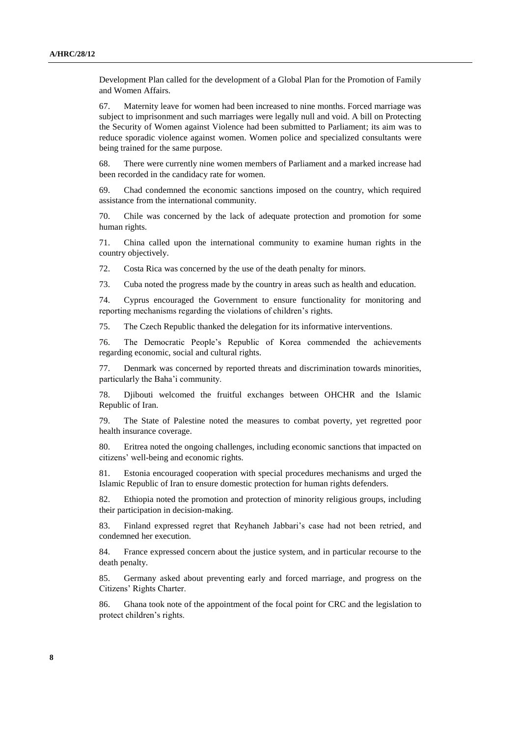Development Plan called for the development of a Global Plan for the Promotion of Family and Women Affairs.

67. Maternity leave for women had been increased to nine months. Forced marriage was subject to imprisonment and such marriages were legally null and void. A bill on Protecting the Security of Women against Violence had been submitted to Parliament; its aim was to reduce sporadic violence against women. Women police and specialized consultants were being trained for the same purpose.

68. There were currently nine women members of Parliament and a marked increase had been recorded in the candidacy rate for women.

69. Chad condemned the economic sanctions imposed on the country, which required assistance from the international community.

70. Chile was concerned by the lack of adequate protection and promotion for some human rights.

71. China called upon the international community to examine human rights in the country objectively.

72. Costa Rica was concerned by the use of the death penalty for minors.

73. Cuba noted the progress made by the country in areas such as health and education.

74. Cyprus encouraged the Government to ensure functionality for monitoring and reporting mechanisms regarding the violations of children's rights.

75. The Czech Republic thanked the delegation for its informative interventions.

76. The Democratic People's Republic of Korea commended the achievements regarding economic, social and cultural rights.

77. Denmark was concerned by reported threats and discrimination towards minorities, particularly the Baha'i community.

78. Djibouti welcomed the fruitful exchanges between OHCHR and the Islamic Republic of Iran.

79. The State of Palestine noted the measures to combat poverty, yet regretted poor health insurance coverage.

80. Eritrea noted the ongoing challenges, including economic sanctions that impacted on citizens' well-being and economic rights.

81. Estonia encouraged cooperation with special procedures mechanisms and urged the Islamic Republic of Iran to ensure domestic protection for human rights defenders.

82. Ethiopia noted the promotion and protection of minority religious groups, including their participation in decision-making.

83. Finland expressed regret that Reyhaneh Jabbari's case had not been retried, and condemned her execution.

84. France expressed concern about the justice system, and in particular recourse to the death penalty.

85. Germany asked about preventing early and forced marriage, and progress on the Citizens' Rights Charter.

86. Ghana took note of the appointment of the focal point for CRC and the legislation to protect children's rights.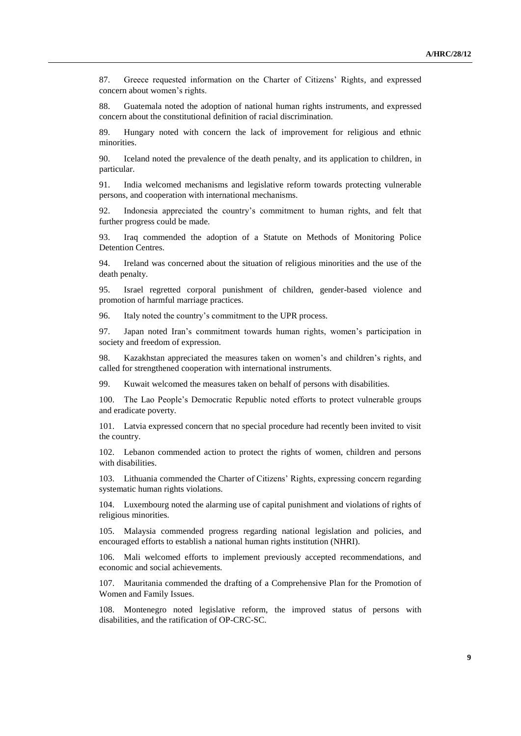87. Greece requested information on the Charter of Citizens' Rights, and expressed concern about women's rights.

88. Guatemala noted the adoption of national human rights instruments, and expressed concern about the constitutional definition of racial discrimination.

89. Hungary noted with concern the lack of improvement for religious and ethnic minorities.

90. Iceland noted the prevalence of the death penalty, and its application to children, in particular.

91. India welcomed mechanisms and legislative reform towards protecting vulnerable persons, and cooperation with international mechanisms.

92. Indonesia appreciated the country's commitment to human rights, and felt that further progress could be made.

93. Iraq commended the adoption of a Statute on Methods of Monitoring Police Detention Centres.

94. Ireland was concerned about the situation of religious minorities and the use of the death penalty.

95. Israel regretted corporal punishment of children, gender-based violence and promotion of harmful marriage practices.

96. Italy noted the country's commitment to the UPR process.

97. Japan noted Iran's commitment towards human rights, women's participation in society and freedom of expression.

98. Kazakhstan appreciated the measures taken on women's and children's rights, and called for strengthened cooperation with international instruments.

99. Kuwait welcomed the measures taken on behalf of persons with disabilities.

100. The Lao People's Democratic Republic noted efforts to protect vulnerable groups and eradicate poverty.

101. Latvia expressed concern that no special procedure had recently been invited to visit the country.

102. Lebanon commended action to protect the rights of women, children and persons with disabilities.

103. Lithuania commended the Charter of Citizens' Rights, expressing concern regarding systematic human rights violations.

104. Luxembourg noted the alarming use of capital punishment and violations of rights of religious minorities.

105. Malaysia commended progress regarding national legislation and policies, and encouraged efforts to establish a national human rights institution (NHRI).

106. Mali welcomed efforts to implement previously accepted recommendations, and economic and social achievements.

107. Mauritania commended the drafting of a Comprehensive Plan for the Promotion of Women and Family Issues.

108. Montenegro noted legislative reform, the improved status of persons with disabilities, and the ratification of OP-CRC-SC.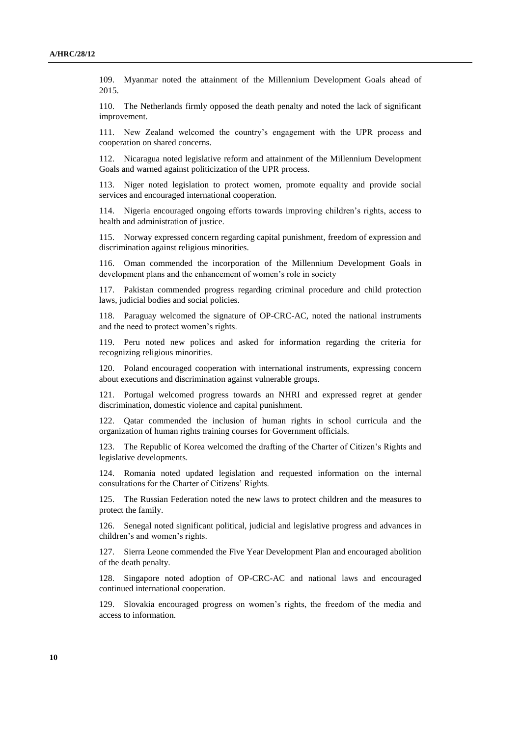109. Myanmar noted the attainment of the Millennium Development Goals ahead of 2015.

110. The Netherlands firmly opposed the death penalty and noted the lack of significant improvement.

111. New Zealand welcomed the country's engagement with the UPR process and cooperation on shared concerns.

112. Nicaragua noted legislative reform and attainment of the Millennium Development Goals and warned against politicization of the UPR process.

113. Niger noted legislation to protect women, promote equality and provide social services and encouraged international cooperation.

114. Nigeria encouraged ongoing efforts towards improving children's rights, access to health and administration of justice.

115. Norway expressed concern regarding capital punishment, freedom of expression and discrimination against religious minorities.

116. Oman commended the incorporation of the Millennium Development Goals in development plans and the enhancement of women's role in society

117. Pakistan commended progress regarding criminal procedure and child protection laws, judicial bodies and social policies.

118. Paraguay welcomed the signature of OP-CRC-AC, noted the national instruments and the need to protect women's rights.

119. Peru noted new polices and asked for information regarding the criteria for recognizing religious minorities.

120. Poland encouraged cooperation with international instruments, expressing concern about executions and discrimination against vulnerable groups.

121. Portugal welcomed progress towards an NHRI and expressed regret at gender discrimination, domestic violence and capital punishment.

122. Qatar commended the inclusion of human rights in school curricula and the organization of human rights training courses for Government officials.

123. The Republic of Korea welcomed the drafting of the Charter of Citizen's Rights and legislative developments.

124. Romania noted updated legislation and requested information on the internal consultations for the Charter of Citizens' Rights.

125. The Russian Federation noted the new laws to protect children and the measures to protect the family.

126. Senegal noted significant political, judicial and legislative progress and advances in children's and women's rights.

127. Sierra Leone commended the Five Year Development Plan and encouraged abolition of the death penalty.

Singapore noted adoption of OP-CRC-AC and national laws and encouraged continued international cooperation.

129. Slovakia encouraged progress on women's rights, the freedom of the media and access to information.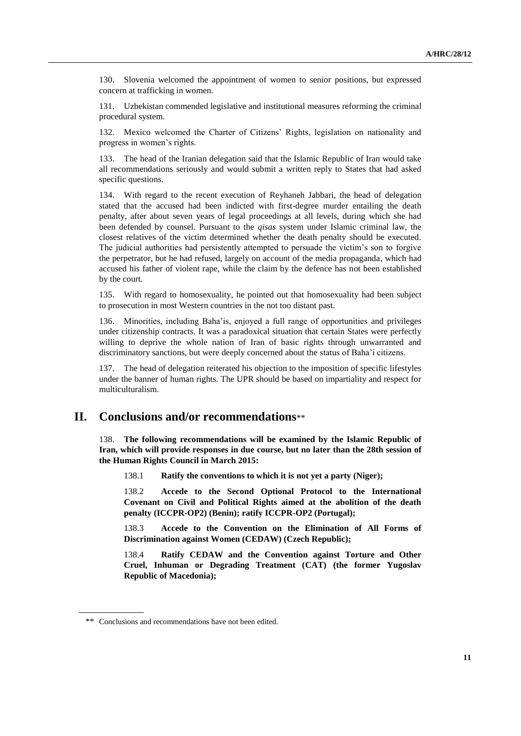130. Slovenia welcomed the appointment of women to senior positions, but expressed concern at trafficking in women.

131. Uzbekistan commended legislative and institutional measures reforming the criminal procedural system.

132. Mexico welcomed the Charter of Citizens' Rights, legislation on nationality and progress in women's rights.

133. The head of the Iranian delegation said that the Islamic Republic of Iran would take all recommendations seriously and would submit a written reply to States that had asked specific questions.

134. With regard to the recent execution of Reyhaneh Jabbari, the head of delegation stated that the accused had been indicted with first-degree murder entailing the death penalty, after about seven years of legal proceedings at all levels, during which she had been defended by counsel. Pursuant to the *qisas* system under Islamic criminal law, the closest relatives of the victim determined whether the death penalty should be executed. The judicial authorities had persistently attempted to persuade the victim's son to forgive the perpetrator, but he had refused, largely on account of the media propaganda, which had accused his father of violent rape, while the claim by the defence has not been established by the court.

135. With regard to homosexuality, he pointed out that homosexuality had been subject to prosecution in most Western countries in the not too distant past.

136. Minorities, including Baha'is, enjoyed a full range of opportunities and privileges under citizenship contracts. It was a paradoxical situation that certain States were perfectly willing to deprive the whole nation of Iran of basic rights through unwarranted and discriminatory sanctions, but were deeply concerned about the status of Baha'i citizens.

137. The head of delegation reiterated his objection to the imposition of specific lifestyles under the banner of human rights. The UPR should be based on impartiality and respect for multiculturalism.

## **II. Conclusions and/or recommendations**\*\*

138. **The following recommendations will be examined by the Islamic Republic of Iran, which will provide responses in due course, but no later than the 28th session of the Human Rights Council in March 2015:**

138.1 **Ratify the conventions to which it is not yet a party (Niger);**

138.2 **Accede to the Second Optional Protocol to the International Covenant on Civil and Political Rights aimed at the abolition of the death penalty (ICCPR-OP2) (Benin); ratify ICCPR-OP2 (Portugal);**

138.3 **Accede to the Convention on the Elimination of All Forms of Discrimination against Women (CEDAW) (Czech Republic);**

138.4 **Ratify CEDAW and the Convention against Torture and Other Cruel, Inhuman or Degrading Treatment (CAT) (the former Yugoslav Republic of Macedonia);** 

<sup>\*\*</sup> Conclusions and recommendations have not been edited.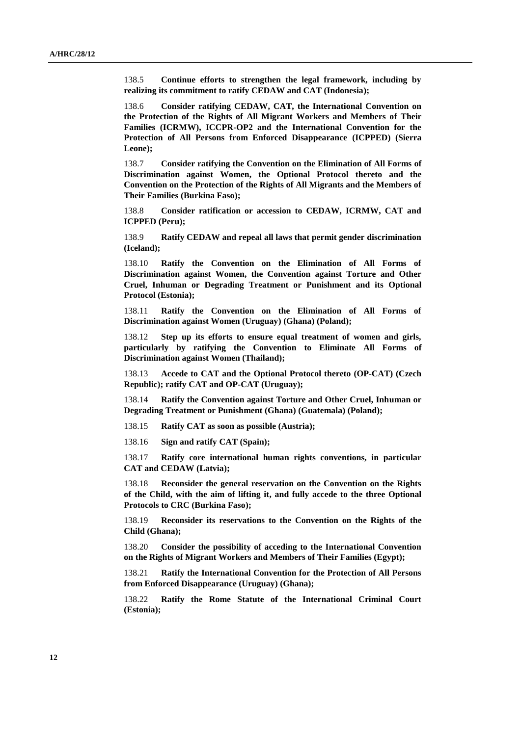138.5 **Continue efforts to strengthen the legal framework, including by realizing its commitment to ratify CEDAW and CAT (Indonesia);** 

138.6 **Consider ratifying CEDAW, CAT, the International Convention on the Protection of the Rights of All Migrant Workers and Members of Their Families (ICRMW), ICCPR-OP2 and the International Convention for the Protection of All Persons from Enforced Disappearance (ICPPED) (Sierra Leone);**

138.7 **Consider ratifying the Convention on the Elimination of All Forms of Discrimination against Women, the Optional Protocol thereto and the Convention on the Protection of the Rights of All Migrants and the Members of Their Families (Burkina Faso);**

138.8 **Consider ratification or accession to CEDAW, ICRMW, CAT and ICPPED (Peru);**

138.9 **Ratify CEDAW and repeal all laws that permit gender discrimination (Iceland);**

138.10 **Ratify the Convention on the Elimination of All Forms of Discrimination against Women, the Convention against Torture and Other Cruel, Inhuman or Degrading Treatment or Punishment and its Optional Protocol (Estonia);**

138.11 **Ratify the Convention on the Elimination of All Forms of Discrimination against Women (Uruguay) (Ghana) (Poland);**

138.12 **Step up its efforts to ensure equal treatment of women and girls, particularly by ratifying the Convention to Eliminate All Forms of Discrimination against Women (Thailand);** 

138.13 **Accede to CAT and the Optional Protocol thereto (OP-CAT) (Czech Republic); ratify CAT and OP-CAT (Uruguay);**

138.14 **Ratify the Convention against Torture and Other Cruel, Inhuman or Degrading Treatment or Punishment (Ghana) (Guatemala) (Poland);**

138.15 **Ratify CAT as soon as possible (Austria);**

138.16 **Sign and ratify CAT (Spain);**

138.17 **Ratify core international human rights conventions, in particular CAT and CEDAW (Latvia);**

138.18 **Reconsider the general reservation on the Convention on the Rights of the Child, with the aim of lifting it, and fully accede to the three Optional Protocols to CRC (Burkina Faso);**

138.19 **Reconsider its reservations to the Convention on the Rights of the Child (Ghana);**

138.20 **Consider the possibility of acceding to the International Convention on the Rights of Migrant Workers and Members of Their Families (Egypt);**

138.21 **Ratify the International Convention for the Protection of All Persons from Enforced Disappearance (Uruguay) (Ghana);**

138.22 **Ratify the Rome Statute of the International Criminal Court (Estonia);**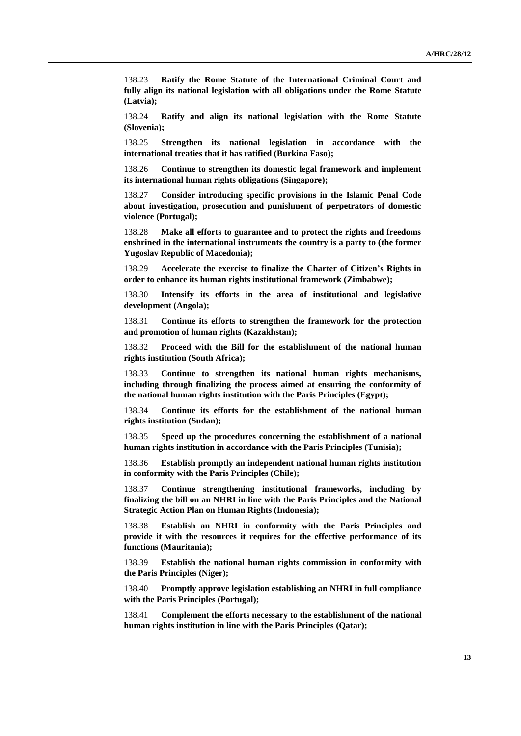138.23 **Ratify the Rome Statute of the International Criminal Court and fully align its national legislation with all obligations under the Rome Statute (Latvia);**

138.24 **Ratify and align its national legislation with the Rome Statute (Slovenia);**

138.25 **Strengthen its national legislation in accordance with the international treaties that it has ratified (Burkina Faso);**

138.26 **Continue to strengthen its domestic legal framework and implement its international human rights obligations (Singapore);**

138.27 **Consider introducing specific provisions in the Islamic Penal Code about investigation, prosecution and punishment of perpetrators of domestic violence (Portugal);**

138.28 **Make all efforts to guarantee and to protect the rights and freedoms enshrined in the international instruments the country is a party to (the former Yugoslav Republic of Macedonia);**

138.29 **Accelerate the exercise to finalize the Charter of Citizen's Rights in order to enhance its human rights institutional framework (Zimbabwe);**

138.30 **Intensify its efforts in the area of institutional and legislative development (Angola);**

138.31 **Continue its efforts to strengthen the framework for the protection and promotion of human rights (Kazakhstan);** 

138.32 **Proceed with the Bill for the establishment of the national human rights institution (South Africa);** 

138.33 **Continue to strengthen its national human rights mechanisms, including through finalizing the process aimed at ensuring the conformity of the national human rights institution with the Paris Principles (Egypt);**

138.34 **Continue its efforts for the establishment of the national human rights institution (Sudan);** 

138.35 **Speed up the procedures concerning the establishment of a national human rights institution in accordance with the Paris Principles (Tunisia);** 

138.36 **Establish promptly an independent national human rights institution in conformity with the Paris Principles (Chile);**

138.37 **Continue strengthening institutional frameworks, including by finalizing the bill on an NHRI in line with the Paris Principles and the National Strategic Action Plan on Human Rights (Indonesia);** 

138.38 **Establish an NHRI in conformity with the Paris Principles and provide it with the resources it requires for the effective performance of its functions (Mauritania);**

138.39 **Establish the national human rights commission in conformity with the Paris Principles (Niger);**

138.40 **Promptly approve legislation establishing an NHRI in full compliance with the Paris Principles (Portugal);**

138.41 **Complement the efforts necessary to the establishment of the national human rights institution in line with the Paris Principles (Qatar);**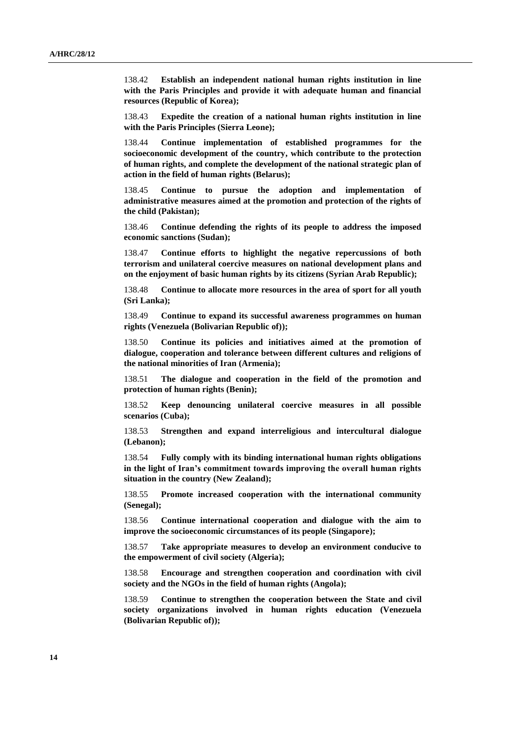138.42 **Establish an independent national human rights institution in line with the Paris Principles and provide it with adequate human and financial resources (Republic of Korea);** 

138.43 **Expedite the creation of a national human rights institution in line with the Paris Principles (Sierra Leone);**

138.44 **Continue implementation of established programmes for the socioeconomic development of the country, which contribute to the protection of human rights, and complete the development of the national strategic plan of action in the field of human rights (Belarus);**

138.45 **Continue to pursue the adoption and implementation of administrative measures aimed at the promotion and protection of the rights of the child (Pakistan);**

138.46 **Continue defending the rights of its people to address the imposed economic sanctions (Sudan);** 

138.47 **Continue efforts to highlight the negative repercussions of both terrorism and unilateral coercive measures on national development plans and on the enjoyment of basic human rights by its citizens (Syrian Arab Republic);** 

138.48 **Continue to allocate more resources in the area of sport for all youth (Sri Lanka);** 

138.49 **Continue to expand its successful awareness programmes on human rights (Venezuela (Bolivarian Republic of));** 

138.50 **Continue its policies and initiatives aimed at the promotion of dialogue, cooperation and tolerance between different cultures and religions of the national minorities of Iran (Armenia);**

138.51 **The dialogue and cooperation in the field of the promotion and protection of human rights (Benin);**

138.52 **Keep denouncing unilateral coercive measures in all possible scenarios (Cuba);** 

138.53 **Strengthen and expand interreligious and intercultural dialogue (Lebanon);**

138.54 **Fully comply with its binding international human rights obligations in the light of Iran's commitment towards improving the overall human rights situation in the country (New Zealand);**

138.55 **Promote increased cooperation with the international community (Senegal);**

138.56 **Continue international cooperation and dialogue with the aim to improve the socioeconomic circumstances of its people (Singapore);** 

138.57 **Take appropriate measures to develop an environment conducive to the empowerment of civil society (Algeria);**

138.58 **Encourage and strengthen cooperation and coordination with civil society and the NGOs in the field of human rights (Angola);**

138.59 **Continue to strengthen the cooperation between the State and civil society organizations involved in human rights education (Venezuela (Bolivarian Republic of));**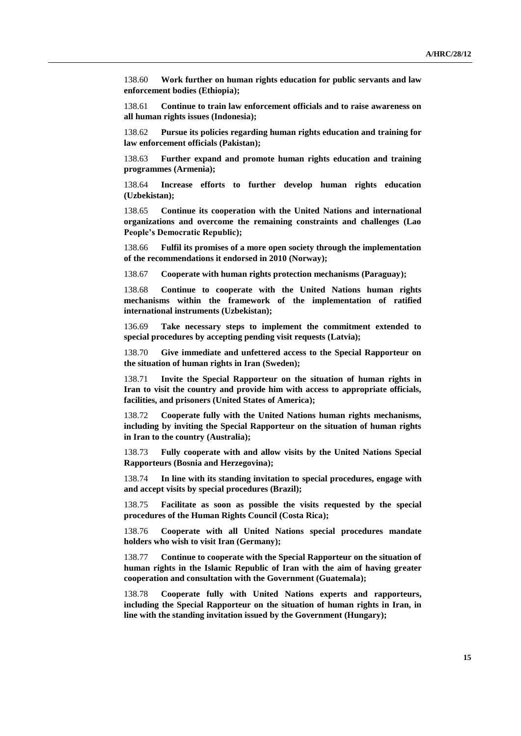138.60 **Work further on human rights education for public servants and law enforcement bodies (Ethiopia);**

138.61 **Continue to train law enforcement officials and to raise awareness on all human rights issues (Indonesia);** 

138.62 **Pursue its policies regarding human rights education and training for law enforcement officials (Pakistan);**

138.63 **Further expand and promote human rights education and training programmes (Armenia);**

138.64 **Increase efforts to further develop human rights education (Uzbekistan);**

138.65 **Continue its cooperation with the United Nations and international organizations and overcome the remaining constraints and challenges (Lao People's Democratic Republic);**

138.66 **Fulfil its promises of a more open society through the implementation of the recommendations it endorsed in 2010 (Norway);**

138.67 **Cooperate with human rights protection mechanisms (Paraguay);**

138.68 **Continue to cooperate with the United Nations human rights mechanisms within the framework of the implementation of ratified international instruments (Uzbekistan);**

136.69 **Take necessary steps to implement the commitment extended to special procedures by accepting pending visit requests (Latvia);**

138.70 **Give immediate and unfettered access to the Special Rapporteur on the situation of human rights in Iran (Sweden);** 

138.71 **Invite the Special Rapporteur on the situation of human rights in Iran to visit the country and provide him with access to appropriate officials, facilities, and prisoners (United States of America);** 

138.72 **Cooperate fully with the United Nations human rights mechanisms, including by inviting the Special Rapporteur on the situation of human rights in Iran to the country (Australia);**

138.73 **Fully cooperate with and allow visits by the United Nations Special Rapporteurs (Bosnia and Herzegovina);**

138.74 **In line with its standing invitation to special procedures, engage with and accept visits by special procedures (Brazil);**

138.75 **Facilitate as soon as possible the visits requested by the special procedures of the Human Rights Council (Costa Rica);**

138.76 **Cooperate with all United Nations special procedures mandate holders who wish to visit Iran (Germany);**

138.77 **Continue to cooperate with the Special Rapporteur on the situation of human rights in the Islamic Republic of Iran with the aim of having greater cooperation and consultation with the Government (Guatemala);** 

138.78 **Cooperate fully with United Nations experts and rapporteurs, including the Special Rapporteur on the situation of human rights in Iran, in line with the standing invitation issued by the Government (Hungary);**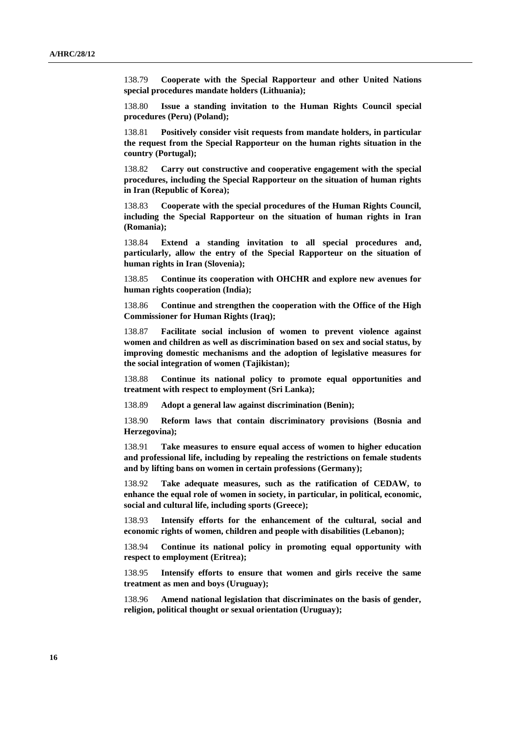138.79 **Cooperate with the Special Rapporteur and other United Nations special procedures mandate holders (Lithuania);**

138.80 **Issue a standing invitation to the Human Rights Council special procedures (Peru) (Poland);**

138.81 **Positively consider visit requests from mandate holders, in particular the request from the Special Rapporteur on the human rights situation in the country (Portugal);**

138.82 **Carry out constructive and cooperative engagement with the special procedures, including the Special Rapporteur on the situation of human rights in Iran (Republic of Korea);** 

138.83 **Cooperate with the special procedures of the Human Rights Council, including the Special Rapporteur on the situation of human rights in Iran (Romania);** 

138.84 **Extend a standing invitation to all special procedures and, particularly, allow the entry of the Special Rapporteur on the situation of human rights in Iran (Slovenia);**

138.85 **Continue its cooperation with OHCHR and explore new avenues for human rights cooperation (India);**

138.86 **Continue and strengthen the cooperation with the Office of the High Commissioner for Human Rights (Iraq);**

138.87 **Facilitate social inclusion of women to prevent violence against women and children as well as discrimination based on sex and social status, by improving domestic mechanisms and the adoption of legislative measures for the social integration of women (Tajikistan);**

138.88 **Continue its national policy to promote equal opportunities and treatment with respect to employment (Sri Lanka);** 

138.89 **Adopt a general law against discrimination (Benin);**

138.90 **Reform laws that contain discriminatory provisions (Bosnia and Herzegovina);**

138.91 **Take measures to ensure equal access of women to higher education and professional life, including by repealing the restrictions on female students and by lifting bans on women in certain professions (Germany);**

138.92 **Take adequate measures, such as the ratification of CEDAW, to enhance the equal role of women in society, in particular, in political, economic, social and cultural life, including sports (Greece);**

138.93 **Intensify efforts for the enhancement of the cultural, social and economic rights of women, children and people with disabilities (Lebanon);**

138.94 **Continue its national policy in promoting equal opportunity with respect to employment (Eritrea);**

138.95 **Intensify efforts to ensure that women and girls receive the same treatment as men and boys (Uruguay);** 

138.96 **Amend national legislation that discriminates on the basis of gender, religion, political thought or sexual orientation (Uruguay);**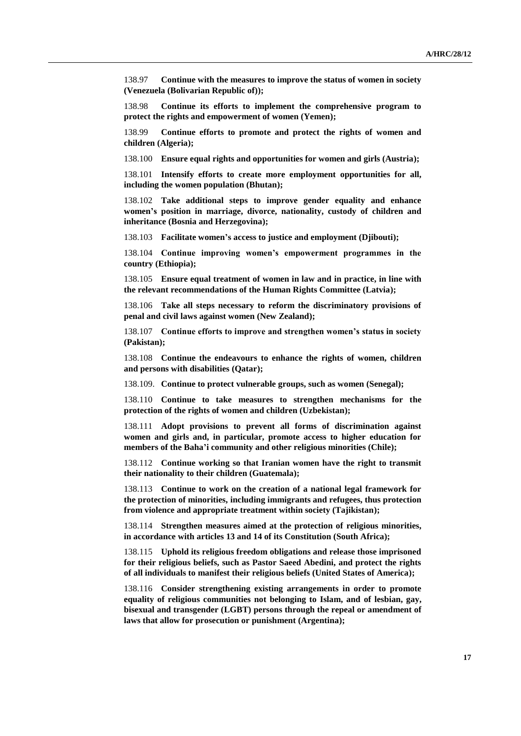138.97 **Continue with the measures to improve the status of women in society (Venezuela (Bolivarian Republic of));** 

138.98 **Continue its efforts to implement the comprehensive program to protect the rights and empowerment of women (Yemen);** 

138.99 **Continue efforts to promote and protect the rights of women and children (Algeria);**

138.100 **Ensure equal rights and opportunities for women and girls (Austria);**

138.101 **Intensify efforts to create more employment opportunities for all, including the women population (Bhutan);**

138.102 **Take additional steps to improve gender equality and enhance women's position in marriage, divorce, nationality, custody of children and inheritance (Bosnia and Herzegovina);**

138.103 **Facilitate women's access to justice and employment (Djibouti);** 

138.104 **Continue improving women's empowerment programmes in the country (Ethiopia);**

138.105 **Ensure equal treatment of women in law and in practice, in line with the relevant recommendations of the Human Rights Committee (Latvia);**

138.106 **Take all steps necessary to reform the discriminatory provisions of penal and civil laws against women (New Zealand);**

138.107 **Continue efforts to improve and strengthen women's status in society (Pakistan);**

138.108 **Continue the endeavours to enhance the rights of women, children and persons with disabilities (Qatar);**

138.109. **Continue to protect vulnerable groups, such as women (Senegal);** 

138.110 **Continue to take measures to strengthen mechanisms for the protection of the rights of women and children (Uzbekistan);**

138.111 **Adopt provisions to prevent all forms of discrimination against women and girls and, in particular, promote access to higher education for members of the Baha'i community and other religious minorities (Chile);**

138.112 **Continue working so that Iranian women have the right to transmit their nationality to their children (Guatemala);** 

138.113 **Continue to work on the creation of a national legal framework for the protection of minorities, including immigrants and refugees, thus protection from violence and appropriate treatment within society (Tajikistan);**

138.114 **Strengthen measures aimed at the protection of religious minorities, in accordance with articles 13 and 14 of its Constitution (South Africa);** 

138.115 **Uphold its religious freedom obligations and release those imprisoned for their religious beliefs, such as Pastor Saeed Abedini, and protect the rights of all individuals to manifest their religious beliefs (United States of America);** 

138.116 **Consider strengthening existing arrangements in order to promote equality of religious communities not belonging to Islam, and of lesbian, gay, bisexual and transgender (LGBT) persons through the repeal or amendment of laws that allow for prosecution or punishment (Argentina);**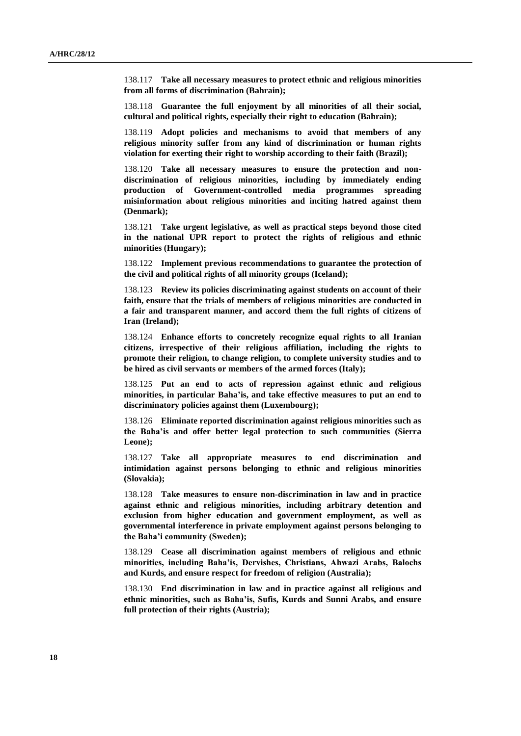138.117 **Take all necessary measures to protect ethnic and religious minorities from all forms of discrimination (Bahrain);**

138.118 **Guarantee the full enjoyment by all minorities of all their social, cultural and political rights, especially their right to education (Bahrain);**

138.119 **Adopt policies and mechanisms to avoid that members of any religious minority suffer from any kind of discrimination or human rights violation for exerting their right to worship according to their faith (Brazil);**

138.120 **Take all necessary measures to ensure the protection and nondiscrimination of religious minorities, including by immediately ending production of Government-controlled media programmes spreading misinformation about religious minorities and inciting hatred against them (Denmark);**

138.121 **Take urgent legislative, as well as practical steps beyond those cited in the national UPR report to protect the rights of religious and ethnic minorities (Hungary);**

138.122 **Implement previous recommendations to guarantee the protection of the civil and political rights of all minority groups (Iceland);**

138.123 **Review its policies discriminating against students on account of their faith, ensure that the trials of members of religious minorities are conducted in a fair and transparent manner, and accord them the full rights of citizens of Iran (Ireland);**

138.124 **Enhance efforts to concretely recognize equal rights to all Iranian citizens, irrespective of their religious affiliation, including the rights to promote their religion, to change religion, to complete university studies and to be hired as civil servants or members of the armed forces (Italy);**

138.125 **Put an end to acts of repression against ethnic and religious minorities, in particular Baha'is, and take effective measures to put an end to discriminatory policies against them (Luxembourg);**

138.126 **Eliminate reported discrimination against religious minorities such as the Baha'is and offer better legal protection to such communities (Sierra Leone);**

138.127 **Take all appropriate measures to end discrimination and intimidation against persons belonging to ethnic and religious minorities (Slovakia);**

138.128 **Take measures to ensure non-discrimination in law and in practice against ethnic and religious minorities, including arbitrary detention and exclusion from higher education and government employment, as well as governmental interference in private employment against persons belonging to the Baha'i community (Sweden);**

138.129 **Cease all discrimination against members of religious and ethnic minorities, including Baha'is, Dervishes, Christians, Ahwazi Arabs, Balochs and Kurds, and ensure respect for freedom of religion (Australia);**

138.130 **End discrimination in law and in practice against all religious and ethnic minorities, such as Baha'is, Sufis, Kurds and Sunni Arabs, and ensure full protection of their rights (Austria);**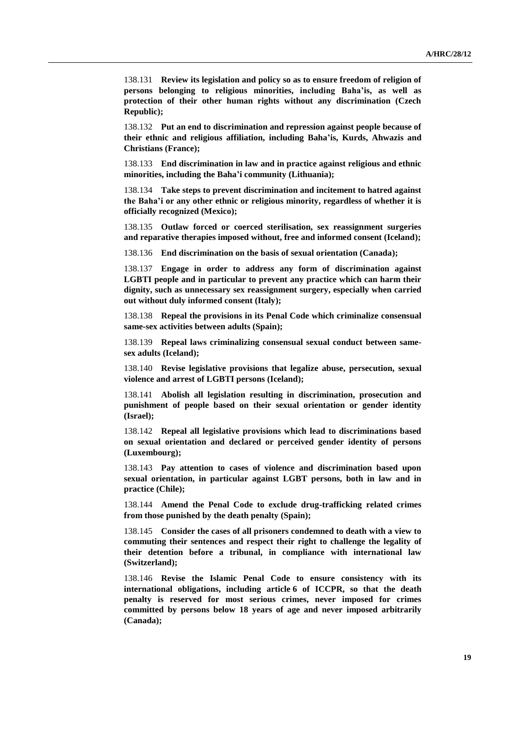138.131 **Review its legislation and policy so as to ensure freedom of religion of persons belonging to religious minorities, including Baha'is, as well as protection of their other human rights without any discrimination (Czech Republic);**

138.132 **Put an end to discrimination and repression against people because of their ethnic and religious affiliation, including Baha'is, Kurds, Ahwazis and Christians (France);**

138.133 **End discrimination in law and in practice against religious and ethnic minorities, including the Baha'i community (Lithuania);**

138.134 **Take steps to prevent discrimination and incitement to hatred against the Baha'i or any other ethnic or religious minority, regardless of whether it is officially recognized (Mexico);**

138.135 **Outlaw forced or coerced sterilisation, sex reassignment surgeries and reparative therapies imposed without, free and informed consent (Iceland);**

138.136 **End discrimination on the basis of sexual orientation (Canada);**

138.137 **Engage in order to address any form of discrimination against LGBTI people and in particular to prevent any practice which can harm their dignity, such as unnecessary sex reassignment surgery, especially when carried out without duly informed consent (Italy);**

138.138 **Repeal the provisions in its Penal Code which criminalize consensual same-sex activities between adults (Spain);**

138.139 **Repeal laws criminalizing consensual sexual conduct between samesex adults (Iceland);**

138.140 **Revise legislative provisions that legalize abuse, persecution, sexual violence and arrest of LGBTI persons (Iceland);**

138.141 **Abolish all legislation resulting in discrimination, prosecution and punishment of people based on their sexual orientation or gender identity (Israel);**

138.142 **Repeal all legislative provisions which lead to discriminations based on sexual orientation and declared or perceived gender identity of persons (Luxembourg);**

138.143 **Pay attention to cases of violence and discrimination based upon sexual orientation, in particular against LGBT persons, both in law and in practice (Chile);**

138.144 **Amend the Penal Code to exclude drug-trafficking related crimes from those punished by the death penalty (Spain);** 

138.145 **Consider the cases of all prisoners condemned to death with a view to commuting their sentences and respect their right to challenge the legality of their detention before a tribunal, in compliance with international law (Switzerland);** 

138.146 **Revise the Islamic Penal Code to ensure consistency with its international obligations, including article 6 of ICCPR, so that the death penalty is reserved for most serious crimes, never imposed for crimes committed by persons below 18 years of age and never imposed arbitrarily (Canada);**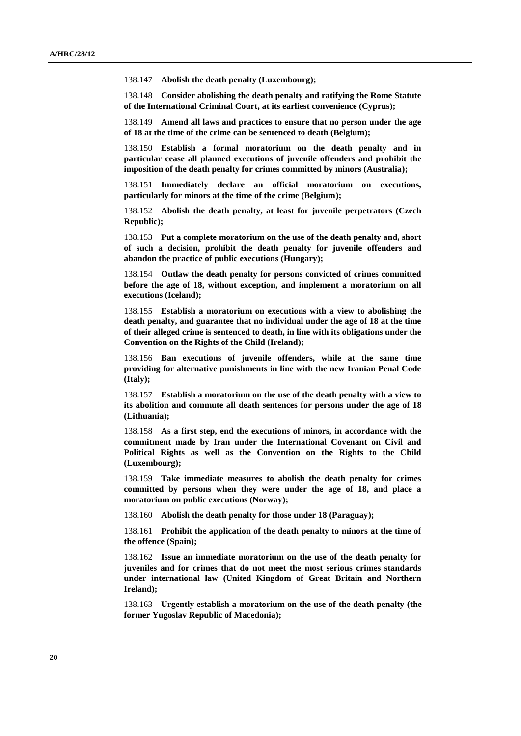138.147 **Abolish the death penalty (Luxembourg);** 

138.148 **Consider abolishing the death penalty and ratifying the Rome Statute of the International Criminal Court, at its earliest convenience (Cyprus);**

138.149 **Amend all laws and practices to ensure that no person under the age of 18 at the time of the crime can be sentenced to death (Belgium);**

138.150 **Establish a formal moratorium on the death penalty and in particular cease all planned executions of juvenile offenders and prohibit the imposition of the death penalty for crimes committed by minors (Australia);**

138.151 **Immediately declare an official moratorium on executions, particularly for minors at the time of the crime (Belgium);**

138.152 **Abolish the death penalty, at least for juvenile perpetrators (Czech Republic);**

138.153 **Put a complete moratorium on the use of the death penalty and, short of such a decision, prohibit the death penalty for juvenile offenders and abandon the practice of public executions (Hungary);**

138.154 **Outlaw the death penalty for persons convicted of crimes committed before the age of 18, without exception, and implement a moratorium on all executions (Iceland);**

138.155 **Establish a moratorium on executions with a view to abolishing the death penalty, and guarantee that no individual under the age of 18 at the time of their alleged crime is sentenced to death, in line with its obligations under the Convention on the Rights of the Child (Ireland);**

138.156 **Ban executions of juvenile offenders, while at the same time providing for alternative punishments in line with the new Iranian Penal Code (Italy);**

138.157 **Establish a moratorium on the use of the death penalty with a view to its abolition and commute all death sentences for persons under the age of 18 (Lithuania);**

138.158 **As a first step, end the executions of minors, in accordance with the commitment made by Iran under the International Covenant on Civil and Political Rights as well as the Convention on the Rights to the Child (Luxembourg);**

138.159 **Take immediate measures to abolish the death penalty for crimes committed by persons when they were under the age of 18, and place a moratorium on public executions (Norway);**

138.160 **Abolish the death penalty for those under 18 (Paraguay);** 

138.161 **Prohibit the application of the death penalty to minors at the time of the offence (Spain);** 

138.162 **Issue an immediate moratorium on the use of the death penalty for juveniles and for crimes that do not meet the most serious crimes standards under international law (United Kingdom of Great Britain and Northern Ireland);** 

138.163 **Urgently establish a moratorium on the use of the death penalty (the former Yugoslav Republic of Macedonia);**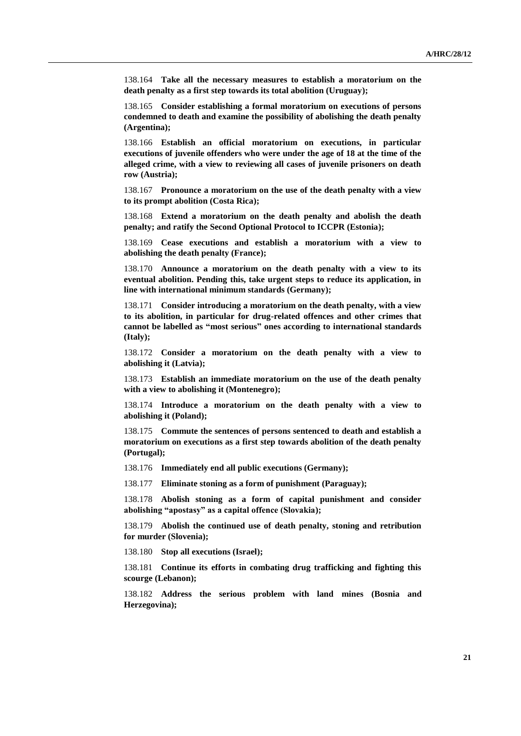138.164 **Take all the necessary measures to establish a moratorium on the death penalty as a first step towards its total abolition (Uruguay);**

138.165 **Consider establishing a formal moratorium on executions of persons condemned to death and examine the possibility of abolishing the death penalty (Argentina);**

138.166 **Establish an official moratorium on executions, in particular executions of juvenile offenders who were under the age of 18 at the time of the alleged crime, with a view to reviewing all cases of juvenile prisoners on death row (Austria);**

138.167 **Pronounce a moratorium on the use of the death penalty with a view to its prompt abolition (Costa Rica);**

138.168 **Extend a moratorium on the death penalty and abolish the death penalty; and ratify the Second Optional Protocol to ICCPR (Estonia);**

138.169 **Cease executions and establish a moratorium with a view to abolishing the death penalty (France);**

138.170 **Announce a moratorium on the death penalty with a view to its eventual abolition. Pending this, take urgent steps to reduce its application, in line with international minimum standards (Germany);**

138.171 **Consider introducing a moratorium on the death penalty, with a view to its abolition, in particular for drug-related offences and other crimes that cannot be labelled as "most serious" ones according to international standards (Italy);**

138.172 **Consider a moratorium on the death penalty with a view to abolishing it (Latvia);**

138.173 **Establish an immediate moratorium on the use of the death penalty with a view to abolishing it (Montenegro);**

138.174 **Introduce a moratorium on the death penalty with a view to abolishing it (Poland);**

138.175 **Commute the sentences of persons sentenced to death and establish a moratorium on executions as a first step towards abolition of the death penalty (Portugal);**

138.176 **Immediately end all public executions (Germany);**

138.177 **Eliminate stoning as a form of punishment (Paraguay);** 

138.178 **Abolish stoning as a form of capital punishment and consider abolishing "apostasy" as a capital offence (Slovakia);**

138.179 **Abolish the continued use of death penalty, stoning and retribution for murder (Slovenia);**

138.180 **Stop all executions (Israel);**

138.181 **Continue its efforts in combating drug trafficking and fighting this scourge (Lebanon);**

138.182 **Address the serious problem with land mines (Bosnia and Herzegovina);**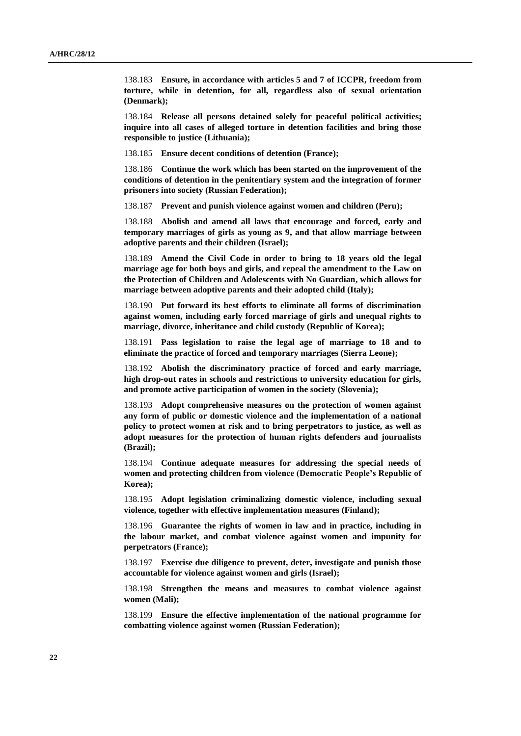138.183 **Ensure, in accordance with articles 5 and 7 of ICCPR, freedom from torture, while in detention, for all, regardless also of sexual orientation (Denmark);**

138.184 **Release all persons detained solely for peaceful political activities; inquire into all cases of alleged torture in detention facilities and bring those responsible to justice (Lithuania);**

138.185 **Ensure decent conditions of detention (France);**

138.186 **Continue the work which has been started on the improvement of the conditions of detention in the penitentiary system and the integration of former prisoners into society (Russian Federation);**

138.187 **Prevent and punish violence against women and children (Peru);**

138.188 **Abolish and amend all laws that encourage and forced, early and temporary marriages of girls as young as 9, and that allow marriage between adoptive parents and their children (Israel);**

138.189 **Amend the Civil Code in order to bring to 18 years old the legal marriage age for both boys and girls, and repeal the amendment to the Law on the Protection of Children and Adolescents with No Guardian, which allows for marriage between adoptive parents and their adopted child (Italy);**

138.190 **Put forward its best efforts to eliminate all forms of discrimination against women, including early forced marriage of girls and unequal rights to marriage, divorce, inheritance and child custody (Republic of Korea);** 

138.191 **Pass legislation to raise the legal age of marriage to 18 and to eliminate the practice of forced and temporary marriages (Sierra Leone);**

138.192 **Abolish the discriminatory practice of forced and early marriage, high drop-out rates in schools and restrictions to university education for girls, and promote active participation of women in the society (Slovenia);**

138.193 **Adopt comprehensive measures on the protection of women against any form of public or domestic violence and the implementation of a national policy to protect women at risk and to bring perpetrators to justice, as well as adopt measures for the protection of human rights defenders and journalists (Brazil);**

138.194 **Continue adequate measures for addressing the special needs of women and protecting children from violence (Democratic People's Republic of Korea);**

138.195 **Adopt legislation criminalizing domestic violence, including sexual violence, together with effective implementation measures (Finland);**

138.196 **Guarantee the rights of women in law and in practice, including in the labour market, and combat violence against women and impunity for perpetrators (France);**

138.197 **Exercise due diligence to prevent, deter, investigate and punish those accountable for violence against women and girls (Israel);**

138.198 **Strengthen the means and measures to combat violence against women (Mali);**

138.199 **Ensure the effective implementation of the national programme for combatting violence against women (Russian Federation);**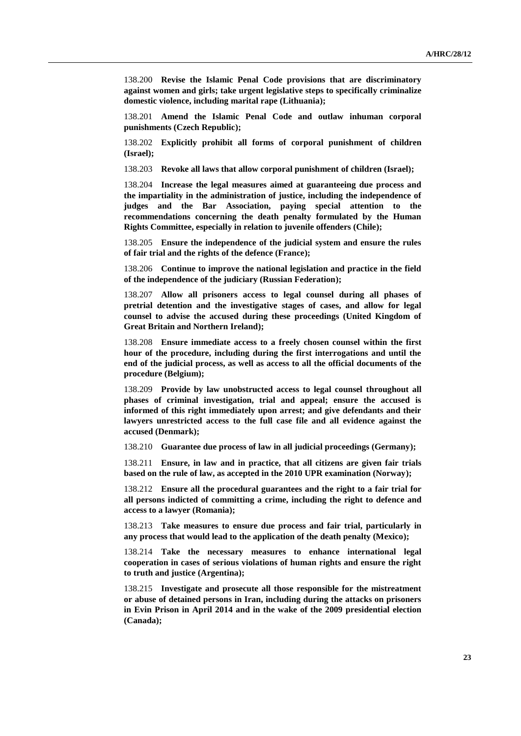138.200 **Revise the Islamic Penal Code provisions that are discriminatory against women and girls; take urgent legislative steps to specifically criminalize domestic violence, including marital rape (Lithuania);**

138.201 **Amend the Islamic Penal Code and outlaw inhuman corporal punishments (Czech Republic);**

138.202 **Explicitly prohibit all forms of corporal punishment of children (Israel);**

138.203 **Revoke all laws that allow corporal punishment of children (Israel);**

138.204 **Increase the legal measures aimed at guaranteeing due process and the impartiality in the administration of justice, including the independence of judges and the Bar Association, paying special attention to the recommendations concerning the death penalty formulated by the Human Rights Committee, especially in relation to juvenile offenders (Chile);**

138.205 **Ensure the independence of the judicial system and ensure the rules of fair trial and the rights of the defence (France);**

138.206 **Continue to improve the national legislation and practice in the field of the independence of the judiciary (Russian Federation);**

138.207 **Allow all prisoners access to legal counsel during all phases of pretrial detention and the investigative stages of cases, and allow for legal counsel to advise the accused during these proceedings (United Kingdom of Great Britain and Northern Ireland);** 

138.208 **Ensure immediate access to a freely chosen counsel within the first hour of the procedure, including during the first interrogations and until the end of the judicial process, as well as access to all the official documents of the procedure (Belgium);**

138.209 **Provide by law unobstructed access to legal counsel throughout all phases of criminal investigation, trial and appeal; ensure the accused is informed of this right immediately upon arrest; and give defendants and their lawyers unrestricted access to the full case file and all evidence against the accused (Denmark);**

138.210 **Guarantee due process of law in all judicial proceedings (Germany);**

138.211 **Ensure, in law and in practice, that all citizens are given fair trials based on the rule of law, as accepted in the 2010 UPR examination (Norway);**

138.212 **Ensure all the procedural guarantees and the right to a fair trial for all persons indicted of committing a crime, including the right to defence and access to a lawyer (Romania);** 

138.213 **Take measures to ensure due process and fair trial, particularly in any process that would lead to the application of the death penalty (Mexico);**

138.214 **Take the necessary measures to enhance international legal cooperation in cases of serious violations of human rights and ensure the right to truth and justice (Argentina);**

138.215 **Investigate and prosecute all those responsible for the mistreatment or abuse of detained persons in Iran, including during the attacks on prisoners in Evin Prison in April 2014 and in the wake of the 2009 presidential election (Canada);**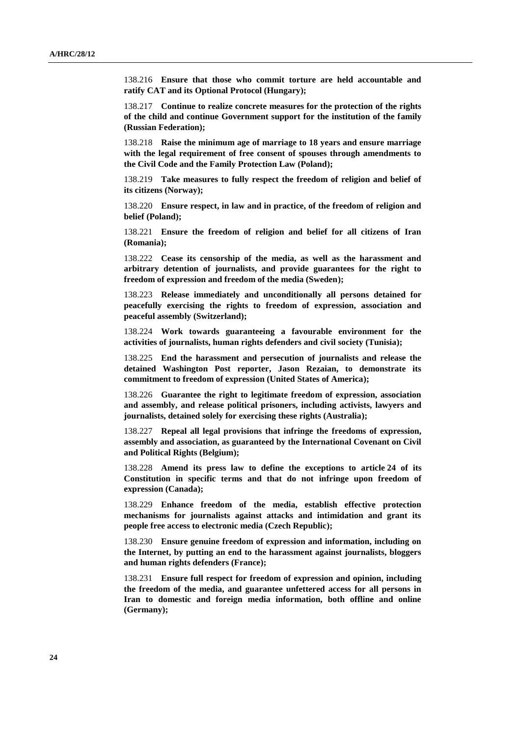138.216 **Ensure that those who commit torture are held accountable and ratify CAT and its Optional Protocol (Hungary);**

138.217 **Continue to realize concrete measures for the protection of the rights of the child and continue Government support for the institution of the family (Russian Federation);**

138.218 **Raise the minimum age of marriage to 18 years and ensure marriage with the legal requirement of free consent of spouses through amendments to the Civil Code and the Family Protection Law (Poland);**

138.219 **Take measures to fully respect the freedom of religion and belief of its citizens (Norway);**

138.220 **Ensure respect, in law and in practice, of the freedom of religion and belief (Poland);**

138.221 **Ensure the freedom of religion and belief for all citizens of Iran (Romania);**

138.222 **Cease its censorship of the media, as well as the harassment and arbitrary detention of journalists, and provide guarantees for the right to freedom of expression and freedom of the media (Sweden);** 

138.223 **Release immediately and unconditionally all persons detained for peacefully exercising the rights to freedom of expression, association and peaceful assembly (Switzerland);**

138.224 **Work towards guaranteeing a favourable environment for the activities of journalists, human rights defenders and civil society (Tunisia);**

138.225 **End the harassment and persecution of journalists and release the detained Washington Post reporter, Jason Rezaian, to demonstrate its commitment to freedom of expression (United States of America);**

138.226 **Guarantee the right to legitimate freedom of expression, association and assembly, and release political prisoners, including activists, lawyers and journalists, detained solely for exercising these rights (Australia);**

138.227 **Repeal all legal provisions that infringe the freedoms of expression, assembly and association, as guaranteed by the International Covenant on Civil and Political Rights (Belgium);**

138.228 **Amend its press law to define the exceptions to article 24 of its Constitution in specific terms and that do not infringe upon freedom of expression (Canada);**

138.229 **Enhance freedom of the media, establish effective protection mechanisms for journalists against attacks and intimidation and grant its people free access to electronic media (Czech Republic);**

138.230 **Ensure genuine freedom of expression and information, including on the Internet, by putting an end to the harassment against journalists, bloggers and human rights defenders (France);**

138.231 **Ensure full respect for freedom of expression and opinion, including the freedom of the media, and guarantee unfettered access for all persons in Iran to domestic and foreign media information, both offline and online (Germany);**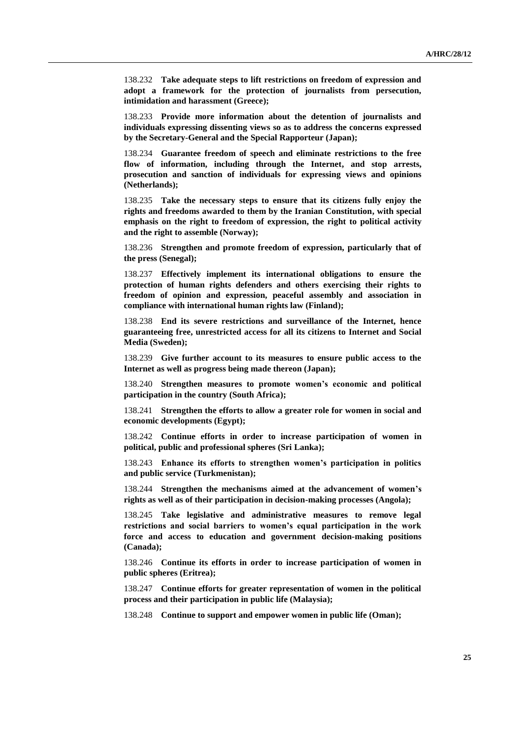138.232 **Take adequate steps to lift restrictions on freedom of expression and adopt a framework for the protection of journalists from persecution, intimidation and harassment (Greece);**

138.233 **Provide more information about the detention of journalists and individuals expressing dissenting views so as to address the concerns expressed by the Secretary-General and the Special Rapporteur (Japan);**

138.234 **Guarantee freedom of speech and eliminate restrictions to the free flow of information, including through the Internet, and stop arrests, prosecution and sanction of individuals for expressing views and opinions (Netherlands);**

138.235 **Take the necessary steps to ensure that its citizens fully enjoy the rights and freedoms awarded to them by the Iranian Constitution, with special emphasis on the right to freedom of expression, the right to political activity and the right to assemble (Norway);**

138.236 **Strengthen and promote freedom of expression, particularly that of the press (Senegal);** 

138.237 **Effectively implement its international obligations to ensure the protection of human rights defenders and others exercising their rights to freedom of opinion and expression, peaceful assembly and association in compliance with international human rights law (Finland);**

138.238 **End its severe restrictions and surveillance of the Internet, hence guaranteeing free, unrestricted access for all its citizens to Internet and Social Media (Sweden);** 

138.239 **Give further account to its measures to ensure public access to the Internet as well as progress being made thereon (Japan);**

138.240 **Strengthen measures to promote women's economic and political participation in the country (South Africa);** 

138.241 **Strengthen the efforts to allow a greater role for women in social and economic developments (Egypt);**

138.242 **Continue efforts in order to increase participation of women in political, public and professional spheres (Sri Lanka);** 

138.243 **Enhance its efforts to strengthen women's participation in politics and public service (Turkmenistan);**

138.244 **Strengthen the mechanisms aimed at the advancement of women's rights as well as of their participation in decision-making processes (Angola);**

138.245 **Take legislative and administrative measures to remove legal restrictions and social barriers to women's equal participation in the work force and access to education and government decision-making positions (Canada);**

138.246 **Continue its efforts in order to increase participation of women in public spheres (Eritrea);**

138.247 **Continue efforts for greater representation of women in the political process and their participation in public life (Malaysia);**

138.248 **Continue to support and empower women in public life (Oman);**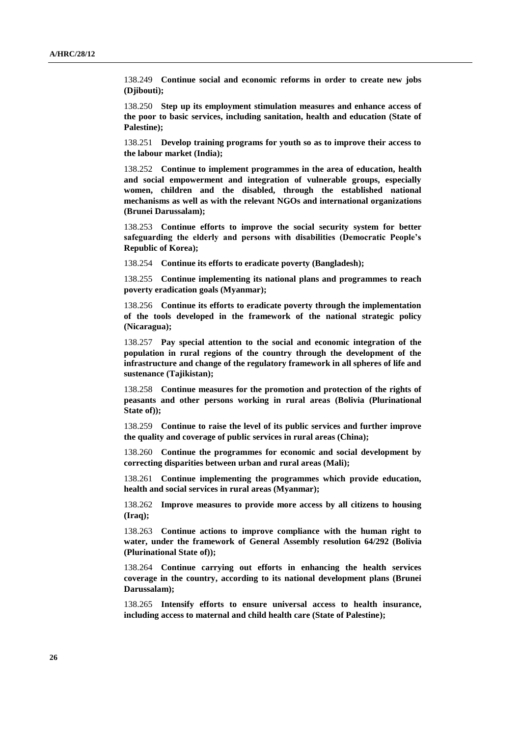138.249 **Continue social and economic reforms in order to create new jobs (Djibouti);**

138.250 **Step up its employment stimulation measures and enhance access of the poor to basic services, including sanitation, health and education (State of Palestine);** 

138.251 **Develop training programs for youth so as to improve their access to the labour market (India);**

138.252 **Continue to implement programmes in the area of education, health and social empowerment and integration of vulnerable groups, especially women, children and the disabled, through the established national mechanisms as well as with the relevant NGOs and international organizations (Brunei Darussalam);**

138.253 **Continue efforts to improve the social security system for better safeguarding the elderly and persons with disabilities (Democratic People's Republic of Korea);**

138.254 **Continue its efforts to eradicate poverty (Bangladesh);**

138.255 **Continue implementing its national plans and programmes to reach poverty eradication goals (Myanmar);**

138.256 **Continue its efforts to eradicate poverty through the implementation of the tools developed in the framework of the national strategic policy (Nicaragua);**

138.257 **Pay special attention to the social and economic integration of the population in rural regions of the country through the development of the infrastructure and change of the regulatory framework in all spheres of life and sustenance (Tajikistan);**

138.258 **Continue measures for the promotion and protection of the rights of peasants and other persons working in rural areas (Bolivia (Plurinational State of));**

138.259 **Continue to raise the level of its public services and further improve the quality and coverage of public services in rural areas (China);**

138.260 **Continue the programmes for economic and social development by correcting disparities between urban and rural areas (Mali);**

138.261 **Continue implementing the programmes which provide education, health and social services in rural areas (Myanmar);**

138.262 **Improve measures to provide more access by all citizens to housing (Iraq);**

138.263 **Continue actions to improve compliance with the human right to water, under the framework of General Assembly resolution 64/292 (Bolivia (Plurinational State of));** 

138.264 **Continue carrying out efforts in enhancing the health services coverage in the country, according to its national development plans (Brunei Darussalam);**

138.265 **Intensify efforts to ensure universal access to health insurance, including access to maternal and child health care (State of Palestine);**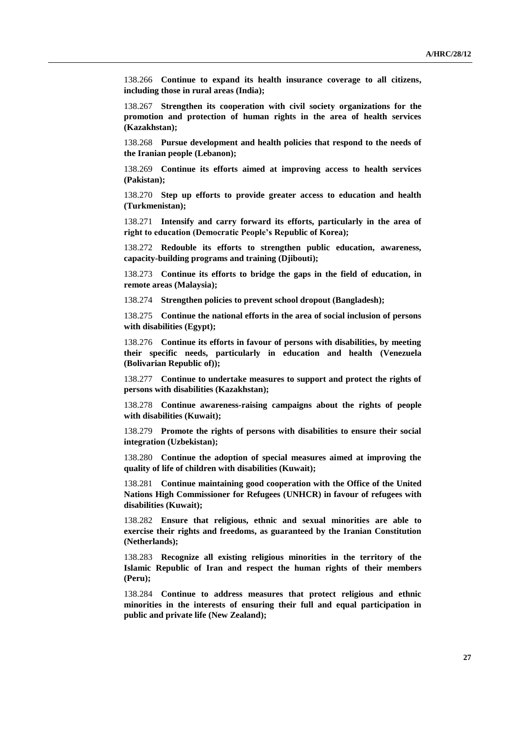138.266 **Continue to expand its health insurance coverage to all citizens, including those in rural areas (India);** 

138.267 **Strengthen its cooperation with civil society organizations for the promotion and protection of human rights in the area of health services (Kazakhstan);**

138.268 **Pursue development and health policies that respond to the needs of the Iranian people (Lebanon);**

138.269 **Continue its efforts aimed at improving access to health services (Pakistan);**

138.270 **Step up efforts to provide greater access to education and health (Turkmenistan);**

138.271 **Intensify and carry forward its efforts, particularly in the area of right to education (Democratic People's Republic of Korea);**

138.272 **Redouble its efforts to strengthen public education, awareness, capacity-building programs and training (Djibouti);** 

138.273 **Continue its efforts to bridge the gaps in the field of education, in remote areas (Malaysia);**

138.274 **Strengthen policies to prevent school dropout (Bangladesh);**

138.275 **Continue the national efforts in the area of social inclusion of persons with disabilities (Egypt);**

138.276 **Continue its efforts in favour of persons with disabilities, by meeting their specific needs, particularly in education and health (Venezuela (Bolivarian Republic of));**

138.277 **Continue to undertake measures to support and protect the rights of persons with disabilities (Kazakhstan);**

138.278 **Continue awareness-raising campaigns about the rights of people with disabilities (Kuwait);**

138.279 **Promote the rights of persons with disabilities to ensure their social integration (Uzbekistan);**

138.280 **Continue the adoption of special measures aimed at improving the quality of life of children with disabilities (Kuwait);** 

138.281 **Continue maintaining good cooperation with the Office of the United Nations High Commissioner for Refugees (UNHCR) in favour of refugees with disabilities (Kuwait);**

138.282 **Ensure that religious, ethnic and sexual minorities are able to exercise their rights and freedoms, as guaranteed by the Iranian Constitution (Netherlands);**

138.283 **Recognize all existing religious minorities in the territory of the Islamic Republic of Iran and respect the human rights of their members (Peru);** 

138.284 **Continue to address measures that protect religious and ethnic minorities in the interests of ensuring their full and equal participation in public and private life (New Zealand);**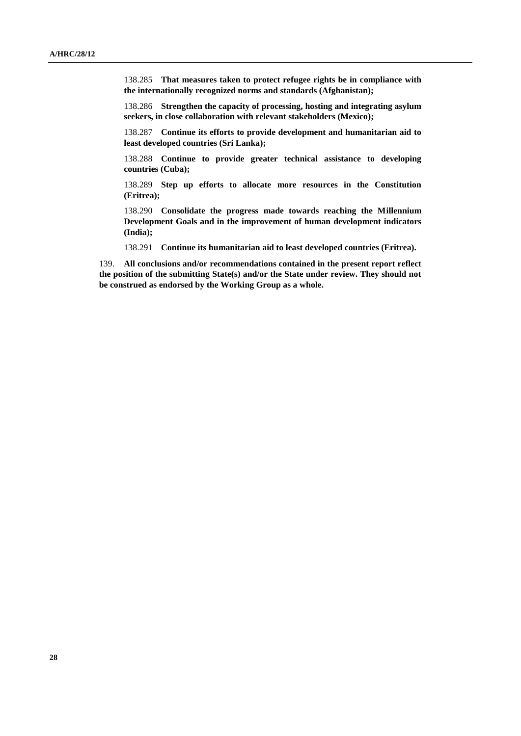138.285 **That measures taken to protect refugee rights be in compliance with the internationally recognized norms and standards (Afghanistan);**

138.286 **Strengthen the capacity of processing, hosting and integrating asylum seekers, in close collaboration with relevant stakeholders (Mexico);**

138.287 **Continue its efforts to provide development and humanitarian aid to least developed countries (Sri Lanka);** 

138.288 **Continue to provide greater technical assistance to developing countries (Cuba);**

138.289 **Step up efforts to allocate more resources in the Constitution (Eritrea);**

138.290 **Consolidate the progress made towards reaching the Millennium Development Goals and in the improvement of human development indicators (India);**

138.291 **Continue its humanitarian aid to least developed countries (Eritrea).**

139. **All conclusions and/or recommendations contained in the present report reflect the position of the submitting State(s) and/or the State under review. They should not be construed as endorsed by the Working Group as a whole.**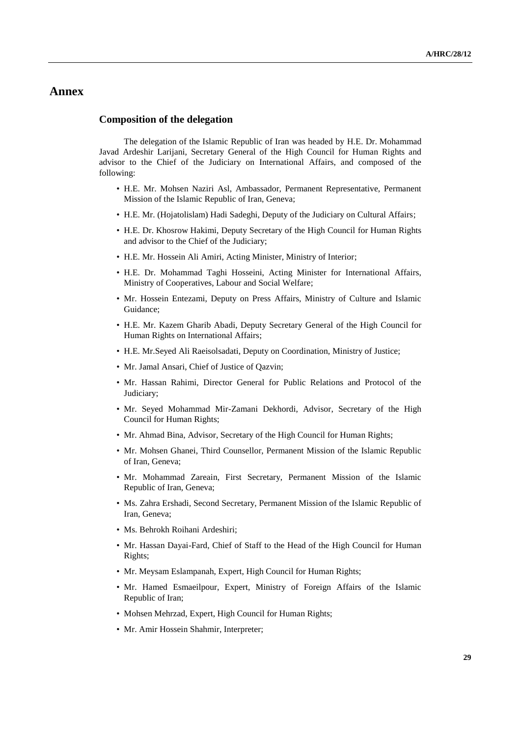### **Annex**

#### **Composition of the delegation**

The delegation of the Islamic Republic of Iran was headed by H.E. Dr. Mohammad Javad Ardeshir Larijani, Secretary General of the High Council for Human Rights and advisor to the Chief of the Judiciary on International Affairs, and composed of the following:

- H.E. Mr. Mohsen Naziri Asl, Ambassador, Permanent Representative, Permanent Mission of the Islamic Republic of Iran, Geneva;
- H.E. Mr. (Hojatolislam) Hadi Sadeghi, Deputy of the Judiciary on Cultural Affairs;
- H.E. Dr. Khosrow Hakimi, Deputy Secretary of the High Council for Human Rights and advisor to the Chief of the Judiciary;
- H.E. Mr. Hossein Ali Amiri, Acting Minister, Ministry of Interior;
- H.E. Dr. Mohammad Taghi Hosseini, Acting Minister for International Affairs, Ministry of Cooperatives, Labour and Social Welfare;
- Mr. Hossein Entezami, Deputy on Press Affairs, Ministry of Culture and Islamic Guidance;
- H.E. Mr. Kazem Gharib Abadi, Deputy Secretary General of the High Council for Human Rights on International Affairs;
- H.E. Mr.Seyed Ali Raeisolsadati, Deputy on Coordination, Ministry of Justice;
- Mr. Jamal Ansari, Chief of Justice of Qazvin;
- Mr. Hassan Rahimi, Director General for Public Relations and Protocol of the Judiciary;
- Mr. Seyed Mohammad Mir-Zamani Dekhordi, Advisor, Secretary of the High Council for Human Rights;
- Mr. Ahmad Bina, Advisor, Secretary of the High Council for Human Rights;
- Mr. Mohsen Ghanei, Third Counsellor, Permanent Mission of the Islamic Republic of Iran, Geneva;
- Mr. Mohammad Zareain, First Secretary, Permanent Mission of the Islamic Republic of Iran, Geneva;
- Ms. Zahra Ershadi, Second Secretary, Permanent Mission of the Islamic Republic of Iran, Geneva;
- Ms. Behrokh Roihani Ardeshiri;
- Mr. Hassan Dayai-Fard, Chief of Staff to the Head of the High Council for Human Rights;
- Mr. Meysam Eslampanah, Expert, High Council for Human Rights;
- Mr. Hamed Esmaeilpour, Expert, Ministry of Foreign Affairs of the Islamic Republic of Iran;
- Mohsen Mehrzad, Expert, High Council for Human Rights;
- Mr. Amir Hossein Shahmir, Interpreter;